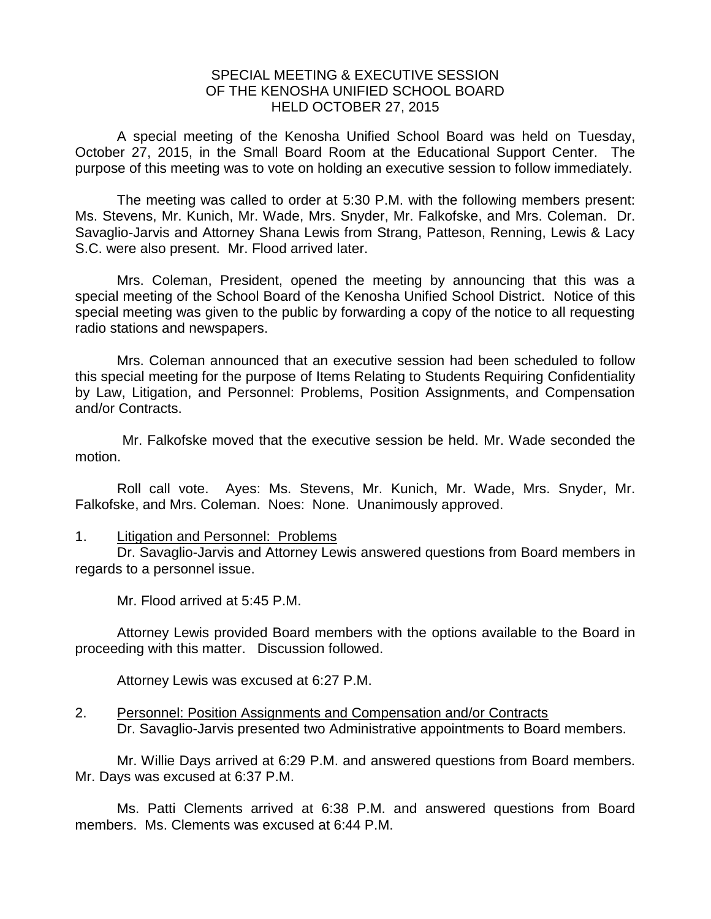## SPECIAL MEETING & EXECUTIVE SESSION OF THE KENOSHA UNIFIED SCHOOL BOARD HELD OCTOBER 27, 2015

A special meeting of the Kenosha Unified School Board was held on Tuesday, October 27, 2015, in the Small Board Room at the Educational Support Center. The purpose of this meeting was to vote on holding an executive session to follow immediately.

The meeting was called to order at 5:30 P.M. with the following members present: Ms. Stevens, Mr. Kunich, Mr. Wade, Mrs. Snyder, Mr. Falkofske, and Mrs. Coleman. Dr. Savaglio-Jarvis and Attorney Shana Lewis from Strang, Patteson, Renning, Lewis & Lacy S.C. were also present. Mr. Flood arrived later.

Mrs. Coleman, President, opened the meeting by announcing that this was a special meeting of the School Board of the Kenosha Unified School District. Notice of this special meeting was given to the public by forwarding a copy of the notice to all requesting radio stations and newspapers.

Mrs. Coleman announced that an executive session had been scheduled to follow this special meeting for the purpose of Items Relating to Students Requiring Confidentiality by Law, Litigation, and Personnel: Problems, Position Assignments, and Compensation and/or Contracts.

Mr. Falkofske moved that the executive session be held. Mr. Wade seconded the motion.

Roll call vote. Ayes: Ms. Stevens, Mr. Kunich, Mr. Wade, Mrs. Snyder, Mr. Falkofske, and Mrs. Coleman. Noes: None. Unanimously approved.

## 1. Litigation and Personnel: Problems

Dr. Savaglio-Jarvis and Attorney Lewis answered questions from Board members in regards to a personnel issue.

Mr. Flood arrived at 5:45 P.M.

Attorney Lewis provided Board members with the options available to the Board in proceeding with this matter. Discussion followed.

Attorney Lewis was excused at 6:27 P.M.

## 2. Personnel: Position Assignments and Compensation and/or Contracts Dr. Savaglio-Jarvis presented two Administrative appointments to Board members.

Mr. Willie Days arrived at 6:29 P.M. and answered questions from Board members. Mr. Days was excused at 6:37 P.M.

Ms. Patti Clements arrived at 6:38 P.M. and answered questions from Board members. Ms. Clements was excused at 6:44 P.M.